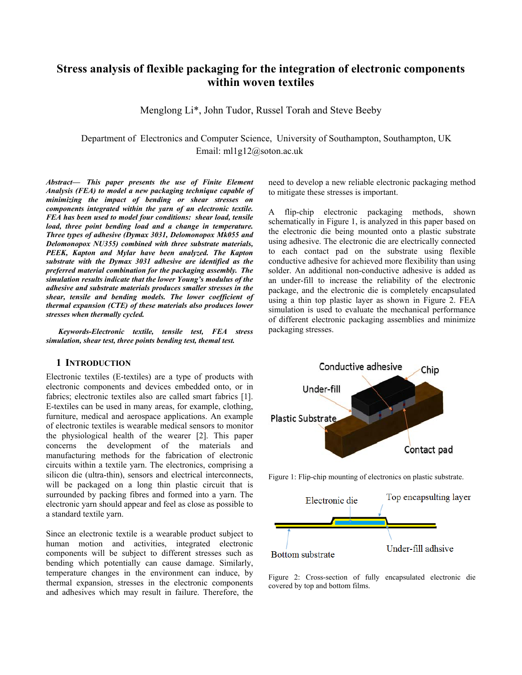# **Stress analysis of flexible packaging for the integration of electronic components within woven textiles**

Menglong Li\*, John Tudor, Russel Torah and Steve Beeby

 Department of Electronics and Computer Science, University of Southampton, Southampton, UK Email: ml1g12@soton.ac.uk

*Abstract***—** *This paper presents the use of Finite Element Analysis (FEA) to model a new packaging technique capable of minimizing the impact of bending or shear stresses on components integrated within the yarn of an electronic textile. FEA has been used to model four conditions: shear load, tensile load, three point bending load and a change in temperature. Three types of adhesive (Dymax 3031, Delomonopox Mk055 and Delomonopox NU355) combined with three substrate materials, PEEK, Kapton and Mylar have been analyzed. The Kapton substrate with the Dymax 3031 adhesive are identified as the preferred material combination for the packaging assembly. The simulation results indicate that the lower Young's modulus of the adhesive and substrate materials produces smaller stresses in the shear, tensile and bending models. The lower coefficient of thermal expansion (CTE) of these materials also produces lower stresses when thermally cycled.* 

*Keywords-Electronic textile, tensile test, FEA stress simulation, shear test, three points bending test, themal test.* 

### **1 INTRODUCTION**

Electronic textiles (E-textiles) are a type of products with electronic components and devices embedded onto, or in fabrics; electronic textiles also are called smart fabrics [1]. E-textiles can be used in many areas, for example, clothing, furniture, medical and aerospace applications. An example of electronic textiles is wearable medical sensors to monitor the physiological health of the wearer [2]. This paper concerns the development of the materials and manufacturing methods for the fabrication of electronic circuits within a textile yarn. The electronics, comprising a silicon die (ultra-thin), sensors and electrical interconnects, will be packaged on a long thin plastic circuit that is surrounded by packing fibres and formed into a yarn. The electronic yarn should appear and feel as close as possible to a standard textile yarn.

Since an electronic textile is a wearable product subject to human motion and activities, integrated electronic components will be subject to different stresses such as bending which potentially can cause damage. Similarly, temperature changes in the environment can induce, by thermal expansion, stresses in the electronic components and adhesives which may result in failure. Therefore, the

need to develop a new reliable electronic packaging method to mitigate these stresses is important.

A flip-chip electronic packaging methods, shown schematically in Figure 1, is analyzed in this paper based on the electronic die being mounted onto a plastic substrate using adhesive. The electronic die are electrically connected to each contact pad on the substrate using flexible conductive adhesive for achieved more flexibility than using solder. An additional non-conductive adhesive is added as an under-fill to increase the reliability of the electronic package, and the electronic die is completely encapsulated using a thin top plastic layer as shown in Figure 2. FEA simulation is used to evaluate the mechanical performance of different electronic packaging assemblies and minimize packaging stresses.



Figure 1: Flip-chip mounting of electronics on plastic substrate.



Figure 2: Cross-section of fully encapsulated electronic die covered by top and bottom films.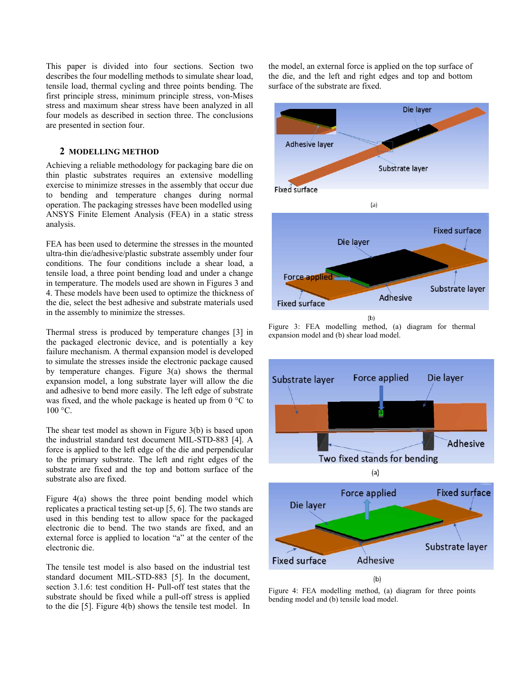This paper is divided into four sections. Section two describes the four modelling methods to simulate shear load, tensile load, thermal cycling and three points bending. The first principle stress, minimum principle stress, von-Mises stress and maximum shear stress have been analyzed in all four models as described in section three. The conclusions are presented in section four.

### **2 MODELLING METHOD**

Achieving a reliable methodology for packaging bare die on thin plastic substrates requires an extensive modelling exercise to minimize stresses in the assembly that occur due to bending and temperature changes during normal operation. The packaging stresses have been modelled using ANSYS Finite Element Analysis (FEA) in a static stress analysis.

FEA has been used to determine the stresses in the mounted ultra-thin die/adhesive/plastic substrate assembly under four conditions. The four conditions include a shear load, a tensile load, a three point bending load and under a change in temperature. The models used are shown in Figures 3 and 4. These models have been used to optimize the thickness of the die, select the best adhesive and substrate materials used in the assembly to minimize the stresses.

Thermal stress is produced by temperature changes [3] in the packaged electronic device, and is potentially a key failure mechanism. A thermal expansion model is developed to simulate the stresses inside the electronic package caused by temperature changes. Figure 3(a) shows the thermal expansion model, a long substrate layer will allow the die and adhesive to bend more easily. The left edge of substrate was fixed, and the whole package is heated up from 0 °C to 100 °C.

The shear test model as shown in Figure 3(b) is based upon the industrial standard test document MIL-STD-883 [4]. A force is applied to the left edge of the die and perpendicular to the primary substrate. The left and right edges of the substrate are fixed and the top and bottom surface of the substrate also are fixed.

Figure 4(a) shows the three point bending model which replicates a practical testing set-up [5, 6]. The two stands are used in this bending test to allow space for the packaged electronic die to bend. The two stands are fixed, and an external force is applied to location "a" at the center of the electronic die.

The tensile test model is also based on the industrial test standard document MIL-STD-883 [5]. In the document, section 3.1.6: test condition H- Pull-off test states that the substrate should be fixed while a pull-off stress is applied to the die [5]. Figure 4(b) shows the tensile test model. In the model, an external force is applied on the top surface of the die, and the left and right edges and top and bottom surface of the substrate are fixed.



Figure 3: FEA modelling method, (a) diagram for thermal expansion model and (b) shear load model.



Figure 4: FEA modelling method, (a) diagram for three points bending model and (b) tensile load model.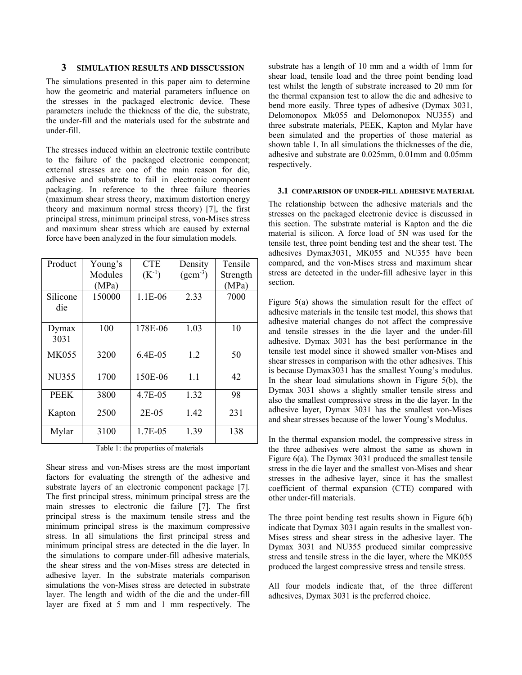### **3 SIMULATION RESULTS AND DISSCUSSION**

The simulations presented in this paper aim to determine how the geometric and material parameters influence on the stresses in the packaged electronic device. These parameters include the thickness of the die, the substrate, the under-fill and the materials used for the substrate and under-fill.

The stresses induced within an electronic textile contribute to the failure of the packaged electronic component; external stresses are one of the main reason for die, adhesive and substrate to fail in electronic component packaging. In reference to the three failure theories (maximum shear stress theory, maximum distortion energy theory and maximum normal stress theory) [7], the first principal stress, minimum principal stress, von-Mises stress and maximum shear stress which are caused by external force have been analyzed in the four simulation models.

| Product      | Young's | <b>CTE</b> | Density      | Tensile  |
|--------------|---------|------------|--------------|----------|
|              | Modules | $(K^{-1})$ | $(gcm^{-3})$ | Strength |
|              | (MPa)   |            |              | (MPa)    |
| Silicone     | 150000  | $1.1E-06$  | 2.33         | 7000     |
| die          |         |            |              |          |
|              |         |            |              |          |
| Dymax        | 100     | 178E-06    | 1.03         | 10       |
| 3031         |         |            |              |          |
| <b>MK055</b> | 3200    | 6.4E-05    | 1.2          | 50       |
|              |         |            |              |          |
| <b>NU355</b> | 1700    | 150E-06    | 1.1          | 42       |
|              |         |            |              |          |
| <b>PEEK</b>  | 3800    | 4.7E-05    | 1.32         | 98       |
| Kapton       | 2500    | $2E-0.5$   | 1.42         | 231      |
|              |         |            |              |          |
| Mylar        | 3100    | 1.7E-05    | 1.39         | 138      |
|              |         |            |              |          |

Table 1: the properties of materials

Shear stress and von-Mises stress are the most important factors for evaluating the strength of the adhesive and substrate layers of an electronic component package [7]. The first principal stress, minimum principal stress are the main stresses to electronic die failure [7]. The first principal stress is the maximum tensile stress and the minimum principal stress is the maximum compressive stress. In all simulations the first principal stress and minimum principal stress are detected in the die layer. In the simulations to compare under-fill adhesive materials, the shear stress and the von-Mises stress are detected in adhesive layer. In the substrate materials comparison simulations the von-Mises stress are detected in substrate layer. The length and width of the die and the under-fill layer are fixed at 5 mm and 1 mm respectively. The substrate has a length of 10 mm and a width of 1mm for shear load, tensile load and the three point bending load test whilst the length of substrate increased to 20 mm for the thermal expansion test to allow the die and adhesive to bend more easily. Three types of adhesive (Dymax 3031, Delomonopox Mk055 and Delomonopox NU355) and three substrate materials, PEEK, Kapton and Mylar have been simulated and the properties of those material as shown table 1. In all simulations the thicknesses of the die, adhesive and substrate are 0.025mm, 0.01mm and 0.05mm respectively.

#### **3.1 COMPARISION OF UNDER-FILL ADHESIVE MATERIAL**

The relationship between the adhesive materials and the stresses on the packaged electronic device is discussed in this section. The substrate material is Kapton and the die material is silicon. A force load of 5N was used for the tensile test, three point bending test and the shear test. The adhesives Dymax3031, MK055 and NU355 have been compared, and the von-Mises stress and maximum shear stress are detected in the under-fill adhesive layer in this section.

Figure 5(a) shows the simulation result for the effect of adhesive materials in the tensile test model, this shows that adhesive material changes do not affect the compressive and tensile stresses in the die layer and the under-fill adhesive. Dymax 3031 has the best performance in the tensile test model since it showed smaller von-Mises and shear stresses in comparison with the other adhesives. This is because Dymax3031 has the smallest Young's modulus. In the shear load simulations shown in Figure  $5(b)$ , the Dymax 3031 shows a slightly smaller tensile stress and also the smallest compressive stress in the die layer. In the adhesive layer, Dymax 3031 has the smallest von-Mises and shear stresses because of the lower Young's Modulus.

In the thermal expansion model, the compressive stress in the three adhesives were almost the same as shown in Figure 6(a). The Dymax 3031 produced the smallest tensile stress in the die layer and the smallest von-Mises and shear stresses in the adhesive layer, since it has the smallest coefficient of thermal expansion (CTE) compared with other under-fill materials.

The three point bending test results shown in Figure 6(b) indicate that Dymax 3031 again results in the smallest von-Mises stress and shear stress in the adhesive layer. The Dymax 3031 and NU355 produced similar compressive stress and tensile stress in the die layer, where the MK055 produced the largest compressive stress and tensile stress.

All four models indicate that, of the three different adhesives, Dymax 3031 is the preferred choice.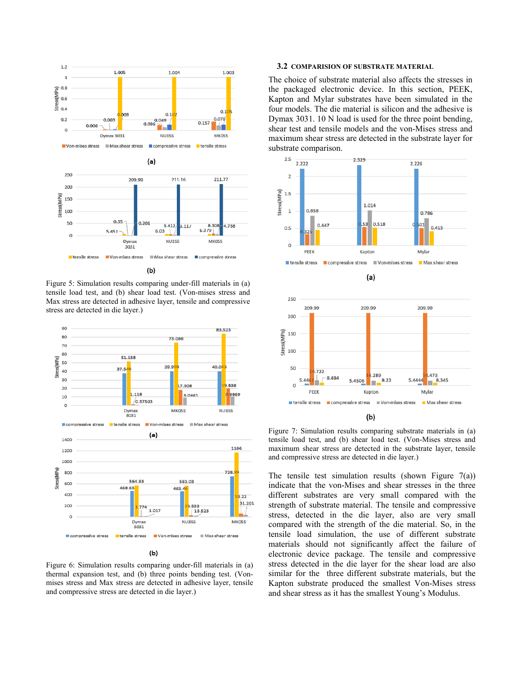

Figure 5: Simulation results comparing under-fill materials in (a) tensile load test, and (b) shear load test. (Von-mises stress and Max stress are detected in adhesive layer, tensile and compressive stress are detected in die layer.)



(Ы)

Figure 6: Simulation results comparing under-fill materials in (a) thermal expansion test, and (b) three points bending test. (Vonmises stress and Max stress are detected in adhesive layer, tensile and compressive stress are detected in die layer.)

# **3.2 COMPARISION OF SUBSTRATE MATERIAL**

The choice of substrate material also affects the stresses in the packaged electronic device. In this section, PEEK, Kapton and Mylar substrates have been simulated in the four models. The die material is silicon and the adhesive is Dymax 3031. 10 N load is used for the three point bending, shear test and tensile models and the von-Mises stress and maximum shear stress are detected in the substrate layer for substrate comparison.



(a)



Figure 7: Simulation results comparing substrate materials in (a) tensile load test, and (b) shear load test. (Von-Mises stress and maximum shear stress are detected in the substrate layer, tensile and compressive stress are detected in die layer.)

The tensile test simulation results (shown Figure  $7(a)$ ) indicate that the von-Mises and shear stresses in the three different substrates are very small compared with the strength of substrate material. The tensile and compressive stress, detected in the die layer, also are very small compared with the strength of the die material. So, in the tensile load simulation, the use of different substrate materials should not significantly affect the failure of electronic device package. The tensile and compressive stress detected in the die layer for the shear load are also similar for the three different substrate materials, but the Kapton substrate produced the smallest Von-Mises stress and shear stress as it has the smallest Young's Modulus.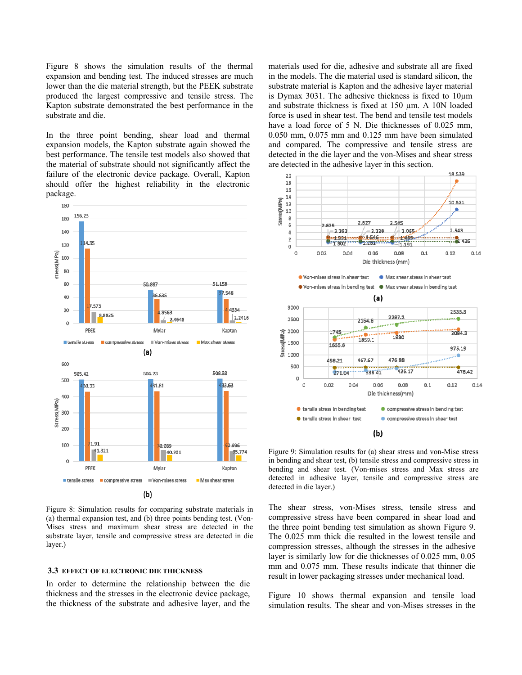Figure 8 shows the simulation results of the thermal expansion and bending test. The induced stresses are much lower than the die material strength, but the PEEK substrate produced the largest compressive and tensile stress. The Kapton substrate demonstrated the best performance in the substrate and die.

In the three point bending, shear load and thermal expansion models, the Kapton substrate again showed the best performance. The tensile test models also showed that the material of substrate should not significantly affect the failure of the electronic device package. Overall, Kapton should offer the highest reliability in the electronic package.



Figure 8: Simulation results for comparing substrate materials in (a) thermal expansion test, and (b) three points bending test. (Von-Mises stress and maximum shear stress are detected in the substrate layer, tensile and compressive stress are detected in die layer.)

#### **3.3 EFFECT OF ELECTRONIC DIE THICKNESS**

In order to determine the relationship between the die thickness and the stresses in the electronic device package, the thickness of the substrate and adhesive layer, and the materials used for die, adhesive and substrate all are fixed in the models. The die material used is standard silicon, the substrate material is Kapton and the adhesive layer material is Dymax 3031. The adhesive thickness is fixed to 10µm and substrate thickness is fixed at 150 µm. A 10N loaded force is used in shear test. The bend and tensile test models have a load force of 5 N. Die thicknesses of 0.025 mm. 0.050 mm, 0.075 mm and 0.125 mm have been simulated and compared. The compressive and tensile stress are detected in the die layer and the von-Mises and shear stress are detected in the adhesive layer in this section.



Figure 9: Simulation results for (a) shear stress and von-Mise stress in bending and shear test, (b) tensile stress and compressive stress in bending and shear test. (Von-mises stress and Max stress are detected in adhesive layer, tensile and compressive stress are detected in die layer.)

The shear stress, von-Mises stress, tensile stress and compressive stress have been compared in shear load and the three point bending test simulation as shown Figure 9. The 0.025 mm thick die resulted in the lowest tensile and compression stresses, although the stresses in the adhesive layer is similarly low for die thicknesses of 0.025 mm, 0.05 mm and 0.075 mm. These results indicate that thinner die result in lower packaging stresses under mechanical load.

Figure 10 shows thermal expansion and tensile load simulation results. The shear and von-Mises stresses in the